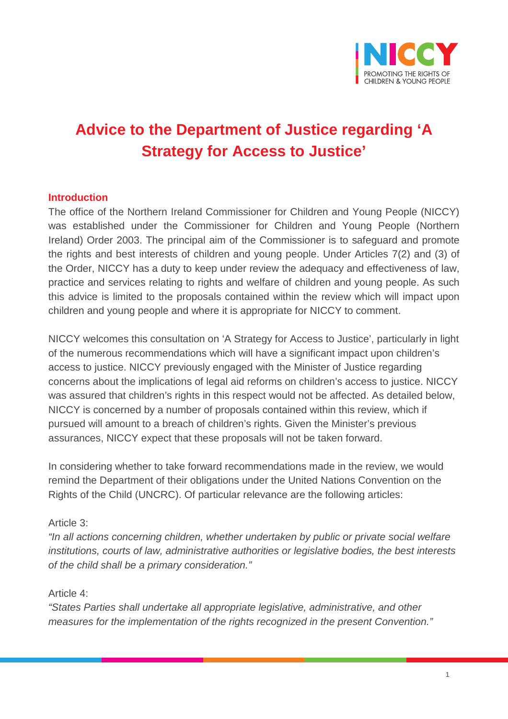

# **Advice to the Department of Justice regarding 'A Strategy for Access to Justice'**

#### **Introduction**

The office of the Northern Ireland Commissioner for Children and Young People (NICCY) was established under the Commissioner for Children and Young People (Northern Ireland) Order 2003. The principal aim of the Commissioner is to safeguard and promote the rights and best interests of children and young people. Under Articles 7(2) and (3) of the Order, NICCY has a duty to keep under review the adequacy and effectiveness of law, practice and services relating to rights and welfare of children and young people. As such this advice is limited to the proposals contained within the review which will impact upon children and young people and where it is appropriate for NICCY to comment.

NICCY welcomes this consultation on 'A Strategy for Access to Justice', particularly in light of the numerous recommendations which will have a significant impact upon children's access to justice. NICCY previously engaged with the Minister of Justice regarding concerns about the implications of legal aid reforms on children's access to justice. NICCY was assured that children's rights in this respect would not be affected. As detailed below, NICCY is concerned by a number of proposals contained within this review, which if pursued will amount to a breach of children's rights. Given the Minister's previous assurances, NICCY expect that these proposals will not be taken forward.

In considering whether to take forward recommendations made in the review, we would remind the Department of their obligations under the United Nations Convention on the Rights of the Child (UNCRC). Of particular relevance are the following articles:

#### Article 3:

*"In all actions concerning children, whether undertaken by public or private social welfare institutions, courts of law, administrative authorities or legislative bodies, the best interests of the child shall be a primary consideration."*

#### Article 4:

*"States Parties shall undertake all appropriate legislative, administrative, and other measures for the implementation of the rights recognized in the present Convention."*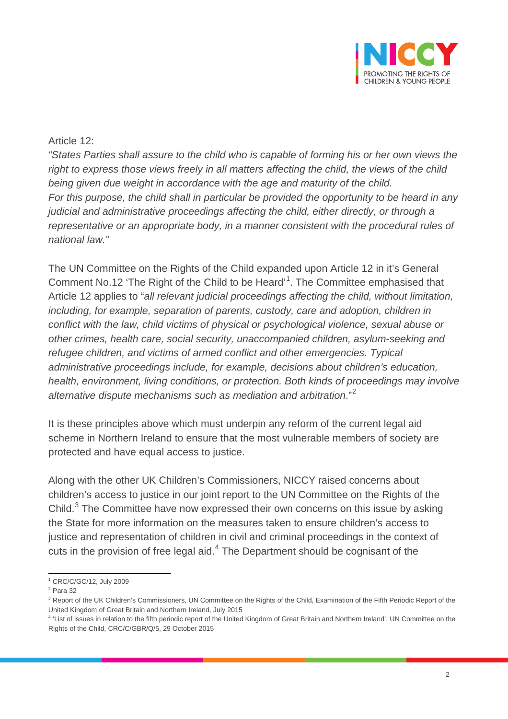

## Article 12:

*"States Parties shall assure to the child who is capable of forming his or her own views the right to express those views freely in all matters affecting the child, the views of the child*  being given due weight in accordance with the age and maturity of the child. *For this purpose, the child shall in particular be provided the opportunity to be heard in any judicial and administrative proceedings affecting the child, either directly, or through a representative or an appropriate body, in a manner consistent with the procedural rules of national law."*

The UN Committee on the Rights of the Child expanded upon Article 12 in it's General Comment No.[1](#page-1-0)2 'The Right of the Child to be Heard'<sup>1</sup>. The Committee emphasised that Article 12 applies to "*all relevant judicial proceedings affecting the child, without limitation, including, for example, separation of parents, custody, care and adoption, children in conflict with the law, child victims of physical or psychological violence, sexual abuse or other crimes, health care, social security, unaccompanied children, asylum-seeking and refugee children, and victims of armed conflict and other emergencies. Typical administrative proceedings include, for example, decisions about children's education, health, environment, living conditions, or protection. Both kinds of proceedings may involve alternative dispute mechanisms such as mediation and arbitration*." [2](#page-1-1)

It is these principles above which must underpin any reform of the current legal aid scheme in Northern Ireland to ensure that the most vulnerable members of society are protected and have equal access to justice.

Along with the other UK Children's Commissioners, NICCY raised concerns about children's access to justice in our joint report to the UN Committee on the Rights of the Child. $3$  The Committee have now expressed their own concerns on this issue by asking the State for more information on the measures taken to ensure children's access to justice and representation of children in civil and criminal proceedings in the context of cuts in the provision of free legal aid.<sup>[4](#page-1-3)</sup> The Department should be cognisant of the

 $\overline{a}$ <sup>1</sup> CRC/C/GC/12, July 2009

<span id="page-1-1"></span><span id="page-1-0"></span><sup>2</sup> Para 32

<span id="page-1-2"></span><sup>&</sup>lt;sup>3</sup> Report of the UK Children's Commissioners, UN Committee on the Rights of the Child, Examination of the Fifth Periodic Report of the United Kingdom of Great Britain and Northern Ireland, July 2015

<span id="page-1-3"></span><sup>&</sup>lt;sup>4</sup> 'List of issues in relation to the fifth periodic report of the United Kingdom of Great Britain and Northern Ireland', UN Committee on the Rights of the Child, CRC/C/GBR/Q/5, 29 October 2015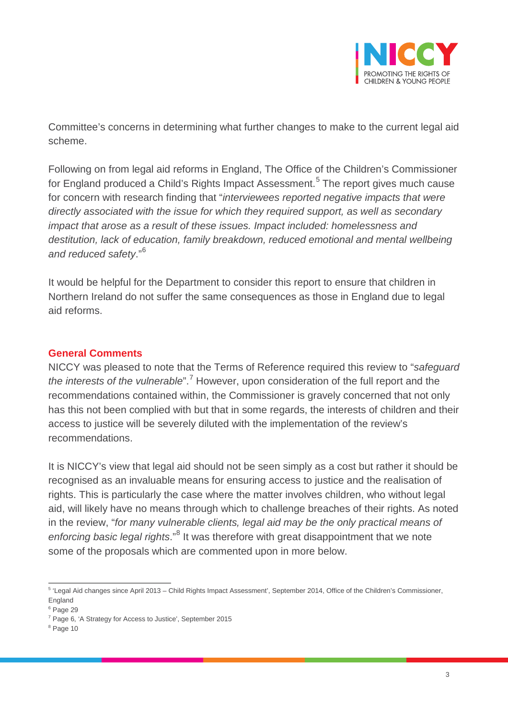

Committee's concerns in determining what further changes to make to the current legal aid scheme.

Following on from legal aid reforms in England, The Office of the Children's Commissioner for England produced a Child's Rights Impact Assessment.<sup>[5](#page-2-0)</sup> The report gives much cause for concern with research finding that "*interviewees reported negative impacts that were directly associated with the issue for which they required support, as well as secondary impact that arose as a result of these issues. Impact included: homelessness and destitution, lack of education, family breakdown, reduced emotional and mental wellbeing and reduced safety*."[6](#page-2-1)

It would be helpful for the Department to consider this report to ensure that children in Northern Ireland do not suffer the same consequences as those in England due to legal aid reforms.

## **General Comments**

NICCY was pleased to note that the Terms of Reference required this review to "*safeguard the interests of the vulnerable*".[7](#page-2-2) However, upon consideration of the full report and the recommendations contained within, the Commissioner is gravely concerned that not only has this not been complied with but that in some regards, the interests of children and their access to justice will be severely diluted with the implementation of the review's recommendations.

It is NICCY's view that legal aid should not be seen simply as a cost but rather it should be recognised as an invaluable means for ensuring access to justice and the realisation of rights. This is particularly the case where the matter involves children, who without legal aid, will likely have no means through which to challenge breaches of their rights. As noted in the review, "*for many vulnerable clients, legal aid may be the only practical means of enforcing basic legal rights*."[8](#page-2-3) It was therefore with great disappointment that we note some of the proposals which are commented upon in more below.

<span id="page-2-0"></span> $\overline{a}$ <sup>5</sup> 'Legal Aid changes since April 2013 – Child Rights Impact Assessment', September 2014, Office of the Children's Commissioner, England

<span id="page-2-1"></span><sup>6</sup> Page 29

<span id="page-2-2"></span><sup>7</sup> Page 6, 'A Strategy for Access to Justice', September 2015

<span id="page-2-3"></span><sup>8</sup> Page 10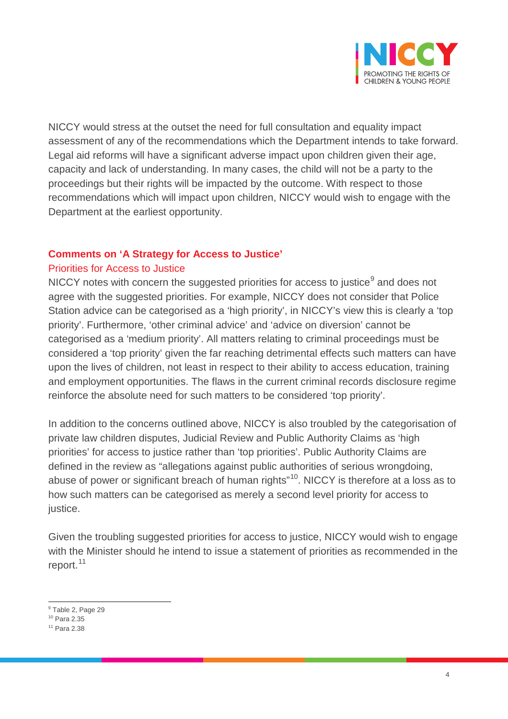

NICCY would stress at the outset the need for full consultation and equality impact assessment of any of the recommendations which the Department intends to take forward. Legal aid reforms will have a significant adverse impact upon children given their age, capacity and lack of understanding. In many cases, the child will not be a party to the proceedings but their rights will be impacted by the outcome. With respect to those recommendations which will impact upon children, NICCY would wish to engage with the Department at the earliest opportunity.

## **Comments on 'A Strategy for Access to Justice'**

## Priorities for Access to Justice

NICCY notes with concern the suggested priorities for access to justice $<sup>9</sup>$  $<sup>9</sup>$  $<sup>9</sup>$  and does not</sup> agree with the suggested priorities. For example, NICCY does not consider that Police Station advice can be categorised as a 'high priority', in NICCY's view this is clearly a 'top priority'. Furthermore, 'other criminal advice' and 'advice on diversion' cannot be categorised as a 'medium priority'. All matters relating to criminal proceedings must be considered a 'top priority' given the far reaching detrimental effects such matters can have upon the lives of children, not least in respect to their ability to access education, training and employment opportunities. The flaws in the current criminal records disclosure regime reinforce the absolute need for such matters to be considered 'top priority'.

In addition to the concerns outlined above, NICCY is also troubled by the categorisation of private law children disputes, Judicial Review and Public Authority Claims as 'high priorities' for access to justice rather than 'top priorities'. Public Authority Claims are defined in the review as "allegations against public authorities of serious wrongdoing, abuse of power or significant breach of human rights"<sup>10</sup>. NICCY is therefore at a loss as to how such matters can be categorised as merely a second level priority for access to justice.

Given the troubling suggested priorities for access to justice, NICCY would wish to engage with the Minister should he intend to issue a statement of priorities as recommended in the report.<sup>[11](#page-3-2)</sup>

 $\overline{a}$ <sup>9</sup> Table 2, Page 29

<span id="page-3-1"></span><span id="page-3-0"></span><sup>10</sup> Para 2.35

<span id="page-3-2"></span><sup>11</sup> Para 2.38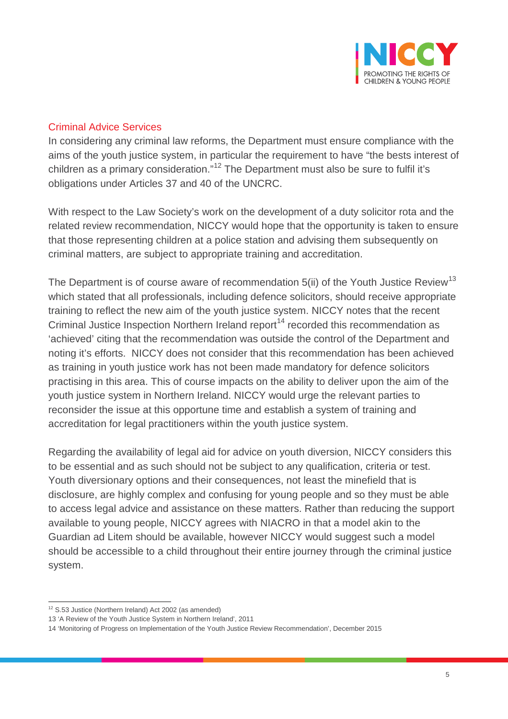

# Criminal Advice Services

In considering any criminal law reforms, the Department must ensure compliance with the aims of the youth justice system, in particular the requirement to have "the bests interest of children as a primary consideration."<sup>[12](#page-4-0)</sup> The Department must also be sure to fulfil it's obligations under Articles 37 and 40 of the UNCRC.

With respect to the Law Society's work on the development of a duty solicitor rota and the related review recommendation, NICCY would hope that the opportunity is taken to ensure that those representing children at a police station and advising them subsequently on criminal matters, are subject to appropriate training and accreditation.

The Department is of course aware of recommendation  $5(ii)$  of the Youth Justice Review<sup>[13](#page-4-1)</sup> which stated that all professionals, including defence solicitors, should receive appropriate training to reflect the new aim of the youth justice system. NICCY notes that the recent Criminal Justice Inspection Northern Ireland report<sup>[14](#page-4-2)</sup> recorded this recommendation as 'achieved' citing that the recommendation was outside the control of the Department and noting it's efforts. NICCY does not consider that this recommendation has been achieved as training in youth justice work has not been made mandatory for defence solicitors practising in this area. This of course impacts on the ability to deliver upon the aim of the youth justice system in Northern Ireland. NICCY would urge the relevant parties to reconsider the issue at this opportune time and establish a system of training and accreditation for legal practitioners within the youth justice system.

Regarding the availability of legal aid for advice on youth diversion, NICCY considers this to be essential and as such should not be subject to any qualification, criteria or test. Youth diversionary options and their consequences, not least the minefield that is disclosure, are highly complex and confusing for young people and so they must be able to access legal advice and assistance on these matters. Rather than reducing the support available to young people, NICCY agrees with NIACRO in that a model akin to the Guardian ad Litem should be available, however NICCY would suggest such a model should be accessible to a child throughout their entire journey through the criminal justice system.

 $\overline{a}$  $12$  S.53 Justice (Northern Ireland) Act 2002 (as amended)

<span id="page-4-1"></span><span id="page-4-0"></span><sup>13</sup> 'A Review of the Youth Justice System in Northern Ireland', 2011

<span id="page-4-2"></span><sup>14</sup> 'Monitoring of Progress on Implementation of the Youth Justice Review Recommendation', December 2015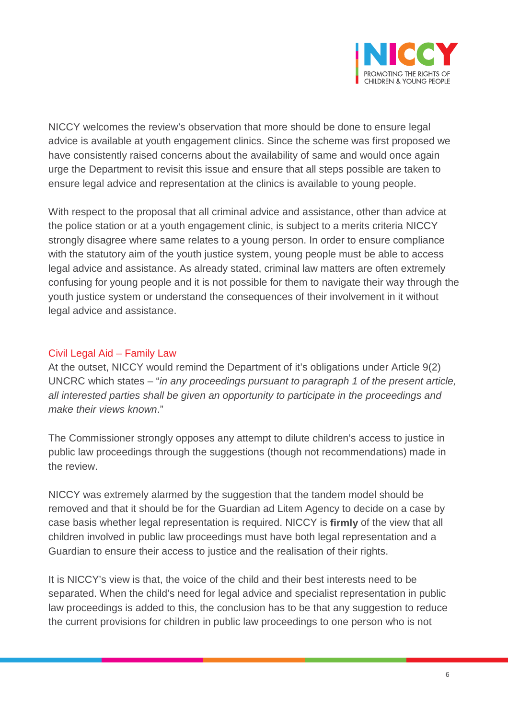

NICCY welcomes the review's observation that more should be done to ensure legal advice is available at youth engagement clinics. Since the scheme was first proposed we have consistently raised concerns about the availability of same and would once again urge the Department to revisit this issue and ensure that all steps possible are taken to ensure legal advice and representation at the clinics is available to young people.

With respect to the proposal that all criminal advice and assistance, other than advice at the police station or at a youth engagement clinic, is subject to a merits criteria NICCY strongly disagree where same relates to a young person. In order to ensure compliance with the statutory aim of the youth justice system, young people must be able to access legal advice and assistance. As already stated, criminal law matters are often extremely confusing for young people and it is not possible for them to navigate their way through the youth justice system or understand the consequences of their involvement in it without legal advice and assistance.

## Civil Legal Aid – Family Law

At the outset, NICCY would remind the Department of it's obligations under Article 9(2) UNCRC which states – "*in any proceedings pursuant to paragraph 1 of the present article, all interested parties shall be given an opportunity to participate in the proceedings and make their views known*."

The Commissioner strongly opposes any attempt to dilute children's access to justice in public law proceedings through the suggestions (though not recommendations) made in the review.

NICCY was extremely alarmed by the suggestion that the tandem model should be removed and that it should be for the Guardian ad Litem Agency to decide on a case by case basis whether legal representation is required. NICCY is **firmly** of the view that all children involved in public law proceedings must have both legal representation and a Guardian to ensure their access to justice and the realisation of their rights.

It is NICCY's view is that, the voice of the child and their best interests need to be separated. When the child's need for legal advice and specialist representation in public law proceedings is added to this, the conclusion has to be that any suggestion to reduce the current provisions for children in public law proceedings to one person who is not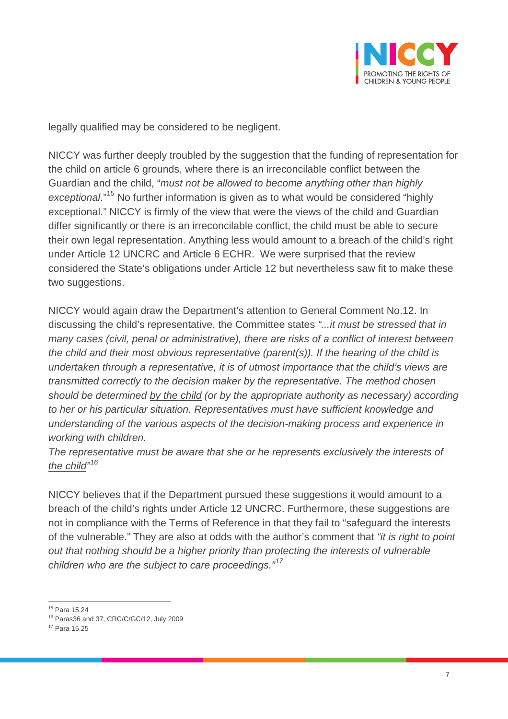

legally qualified may be considered to be negligent.

NICCY was further deeply troubled by the suggestion that the funding of representation for the child on article 6 grounds, where there is an irreconcilable conflict between the Guardian and the child, "*must not be allowed to become anything other than highly exceptional*."[15](#page-6-0) No further information is given as to what would be considered "highly exceptional." NICCY is firmly of the view that were the views of the child and Guardian differ significantly or there is an irreconcilable conflict, the child must be able to secure their own legal representation. Anything less would amount to a breach of the child's right under Article 12 UNCRC and Article 6 ECHR. We were surprised that the review considered the State's obligations under Article 12 but nevertheless saw fit to make these two suggestions.

NICCY would again draw the Department's attention to General Comment No.12. In discussing the child's representative, the Committee states *"...it must be stressed that in many cases (civil, penal or administrative), there are risks of a conflict of interest between the child and their most obvious representative (parent(s)). If the hearing of the child is undertaken through a representative, it is of utmost importance that the child's views are transmitted correctly to the decision maker by the representative. The method chosen should be determined by the child (or by the appropriate authority as necessary) according to her or his particular situation. Representatives must have sufficient knowledge and understanding of the various aspects of the decision-making process and experience in working with children.* 

*The representative must be aware that she or he represents exclusively the interests of the child" [16](#page-6-1)*

NICCY believes that if the Department pursued these suggestions it would amount to a breach of the child's rights under Article 12 UNCRC. Furthermore, these suggestions are not in compliance with the Terms of Reference in that they fail to "safeguard the interests of the vulnerable." They are also at odds with the author's comment that *"it is right to point out that nothing should be a higher priority than protecting the interests of vulnerable children who are the subject to care proceedings."[17](#page-6-2)*

 $\overline{a}$ <sup>15</sup> Para 15.24

<span id="page-6-1"></span><span id="page-6-0"></span><sup>16</sup> Paras36 and 37, CRC/C/GC/12, July 2009

<span id="page-6-2"></span><sup>17</sup> Para 15.25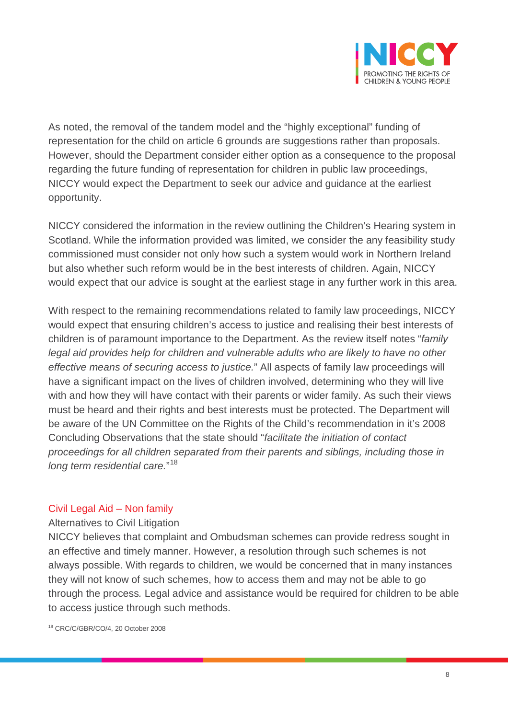

As noted, the removal of the tandem model and the "highly exceptional" funding of representation for the child on article 6 grounds are suggestions rather than proposals. However, should the Department consider either option as a consequence to the proposal regarding the future funding of representation for children in public law proceedings, NICCY would expect the Department to seek our advice and guidance at the earliest opportunity.

NICCY considered the information in the review outlining the Children's Hearing system in Scotland. While the information provided was limited, we consider the any feasibility study commissioned must consider not only how such a system would work in Northern Ireland but also whether such reform would be in the best interests of children. Again, NICCY would expect that our advice is sought at the earliest stage in any further work in this area.

With respect to the remaining recommendations related to family law proceedings, NICCY would expect that ensuring children's access to justice and realising their best interests of children is of paramount importance to the Department. As the review itself notes "*family legal aid provides help for children and vulnerable adults who are likely to have no other effective means of securing access to justice.*" All aspects of family law proceedings will have a significant impact on the lives of children involved, determining who they will live with and how they will have contact with their parents or wider family. As such their views must be heard and their rights and best interests must be protected. The Department will be aware of the UN Committee on the Rights of the Child's recommendation in it's 2008 Concluding Observations that the state should "*facilitate the initiation of contact proceedings for all children separated from their parents and siblings, including those in long term residential care.*" [18](#page-7-0)

# Civil Legal Aid – Non family

Alternatives to Civil Litigation

NICCY believes that complaint and Ombudsman schemes can provide redress sought in an effective and timely manner. However, a resolution through such schemes is not always possible. With regards to children, we would be concerned that in many instances they will not know of such schemes, how to access them and may not be able to go through the process*.* Legal advice and assistance would be required for children to be able to access justice through such methods.

<span id="page-7-0"></span> $\overline{a}$ <sup>18</sup> CRC/C/GBR/CO/4, 20 October 2008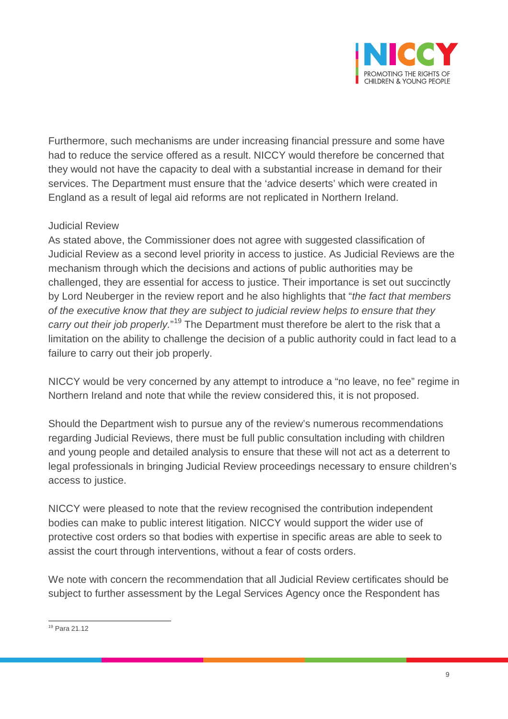

Furthermore, such mechanisms are under increasing financial pressure and some have had to reduce the service offered as a result. NICCY would therefore be concerned that they would not have the capacity to deal with a substantial increase in demand for their services. The Department must ensure that the 'advice deserts' which were created in England as a result of legal aid reforms are not replicated in Northern Ireland.

# Judicial Review

As stated above, the Commissioner does not agree with suggested classification of Judicial Review as a second level priority in access to justice. As Judicial Reviews are the mechanism through which the decisions and actions of public authorities may be challenged, they are essential for access to justice. Their importance is set out succinctly by Lord Neuberger in the review report and he also highlights that "*the fact that members of the executive know that they are subject to judicial review helps to ensure that they*  carry out their job properly."<sup>[19](#page-8-0)</sup> The Department must therefore be alert to the risk that a limitation on the ability to challenge the decision of a public authority could in fact lead to a failure to carry out their job properly.

NICCY would be very concerned by any attempt to introduce a "no leave, no fee" regime in Northern Ireland and note that while the review considered this, it is not proposed.

Should the Department wish to pursue any of the review's numerous recommendations regarding Judicial Reviews, there must be full public consultation including with children and young people and detailed analysis to ensure that these will not act as a deterrent to legal professionals in bringing Judicial Review proceedings necessary to ensure children's access to justice.

NICCY were pleased to note that the review recognised the contribution independent bodies can make to public interest litigation. NICCY would support the wider use of protective cost orders so that bodies with expertise in specific areas are able to seek to assist the court through interventions, without a fear of costs orders.

We note with concern the recommendation that all Judicial Review certificates should be subject to further assessment by the Legal Services Agency once the Respondent has

<span id="page-8-0"></span> $\overline{a}$ <sup>19</sup> Para 21.12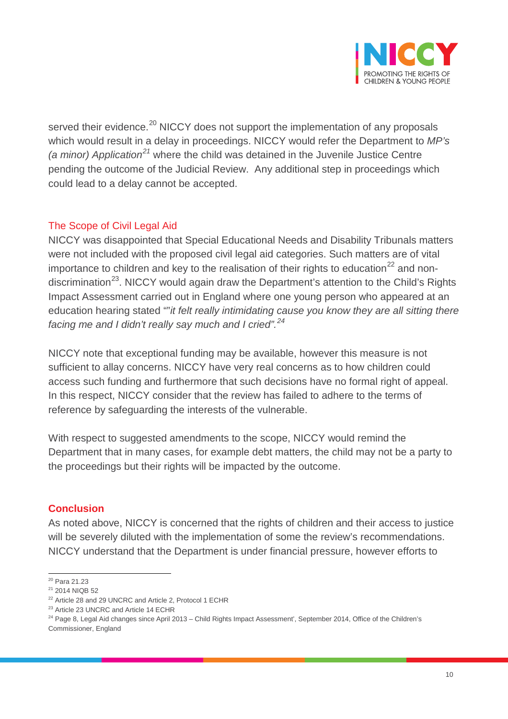

served their evidence.<sup>[20](#page-9-0)</sup> NICCY does not support the implementation of any proposals which would result in a delay in proceedings. NICCY would refer the Department to *MP's (a minor) Application[21](#page-9-1)* where the child was detained in the Juvenile Justice Centre pending the outcome of the Judicial Review. Any additional step in proceedings which could lead to a delay cannot be accepted.

## The Scope of Civil Legal Aid

NICCY was disappointed that Special Educational Needs and Disability Tribunals matters were not included with the proposed civil legal aid categories. Such matters are of vital importance to children and key to the realisation of their rights to education<sup>[22](#page-9-2)</sup> and non-discrimination<sup>[23](#page-9-3)</sup>. NICCY would again draw the Department's attention to the Child's Rights Impact Assessment carried out in England where one young person who appeared at an education hearing stated ""*it felt really intimidating cause you know they are all sitting there facing me and I didn't really say much and I cried".[24](#page-9-4)*

NICCY note that exceptional funding may be available, however this measure is not sufficient to allay concerns. NICCY have very real concerns as to how children could access such funding and furthermore that such decisions have no formal right of appeal. In this respect, NICCY consider that the review has failed to adhere to the terms of reference by safeguarding the interests of the vulnerable.

With respect to suggested amendments to the scope, NICCY would remind the Department that in many cases, for example debt matters, the child may not be a party to the proceedings but their rights will be impacted by the outcome.

# **Conclusion**

As noted above, NICCY is concerned that the rights of children and their access to justice will be severely diluted with the implementation of some the review's recommendations. NICCY understand that the Department is under financial pressure, however efforts to

 $\overline{a}$ <sup>20</sup> Para 21.23

<span id="page-9-1"></span><span id="page-9-0"></span><sup>&</sup>lt;sup>21</sup> 2014 NIQB 52

<span id="page-9-2"></span><sup>22</sup> Article 28 and 29 UNCRC and Article 2, Protocol 1 ECHR

<span id="page-9-3"></span><sup>&</sup>lt;sup>23</sup> Article 23 UNCRC and Article 14 ECHR

<span id="page-9-4"></span><sup>&</sup>lt;sup>24</sup> Page 8, Legal Aid changes since April 2013 – Child Rights Impact Assessment', September 2014, Office of the Children's Commissioner, England